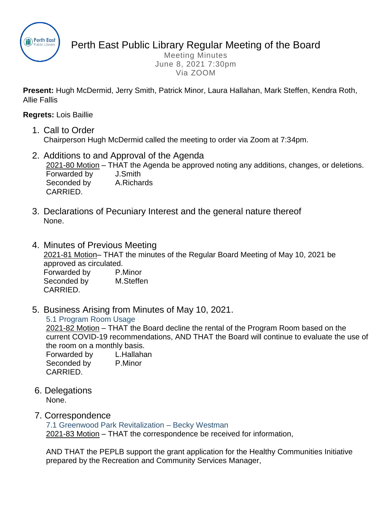

Perth East Public Library Regular Meeting of the Board

Meeting Minutes June 8, 2021 7:30pm Via ZOOM

**Present:** Hugh McDermid, Jerry Smith, Patrick Minor, Laura Hallahan, Mark Steffen, Kendra Roth, Allie Fallis

**Regrets:** Lois Baillie

- 1. Call to Order Chairperson Hugh McDermid called the meeting to order via Zoom at 7:34pm.
- 2. Additions to and Approval of the Agenda 2021-80 Motion – THAT the Agenda be approved noting any additions, changes, or deletions. Forwarded by J.Smith Seconded by **A.Richards** CARRIED.
- 3. Declarations of Pecuniary Interest and the general nature thereof None.
- 4. Minutes of Previous Meeting 2021-81 Motion– THAT the minutes of the Regular Board Meeting of May 10, 2021 be approved as circulated. Forwarded by P.Minor Seconded by M.Steffen CARRIED.
- 5. Business Arising from Minutes of May 10, 2021.

5.1 Program Room Usage

2021-82 Motion – THAT the Board decline the rental of the Program Room based on the current COVID-19 recommendations, AND THAT the Board will continue to evaluate the use of the room on a monthly basis.

Forwarded by L.Hallahan Seconded by P.Minor CARRIED.

6. Delegations None.

## 7. Correspondence

7.1 Greenwood Park Revitalization – Becky Westman

2021-83 Motion – THAT the correspondence be received for information,

AND THAT the PEPLB support the grant application for the Healthy Communities Initiative prepared by the Recreation and Community Services Manager,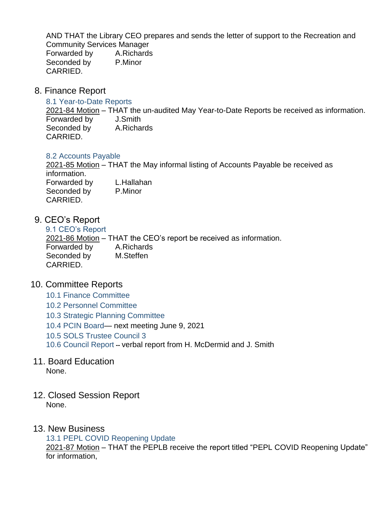AND THAT the Library CEO prepares and sends the letter of support to the Recreation and Community Services Manager Forwarded by A.Richards Seconded by P.Minor CARRIED.

8. Finance Report

### 8.1 Year-to-Date Reports

2021-84 Motion – THAT the un-audited May Year-to-Date Reports be received as information. Forwarded by J.Smith Seconded by **A.Richards** CARRIED.

### 8.2 Accounts Payable

2021-85 Motion – THAT the May informal listing of Accounts Payable be received as information.

Forwarded by L.Hallahan Seconded by P.Minor CARRIED.

# 9. CEO's Report

9.1 CEO's Report 2021-86 Motion – THAT the CEO's report be received as information. Forwarded by A.Richards Seconded by **M.Steffen** CARRIED.

## 10. Committee Reports

- 10.1 Finance Committee
- 10.2 Personnel Committee
- 10.3 Strategic Planning Committee
- 10.4 PCIN Board— next meeting June 9, 2021
- 10.5 SOLS Trustee Council 3
- 10.6 Council Report **--** verbal report from H. McDermid and J. Smith
- 11. Board Education None.
- 12. Closed Session Report None.

## 13. New Business

13.1 PEPL COVID Reopening Update

2021-87 Motion – THAT the PEPLB receive the report titled "PEPL COVID Reopening Update" for information,